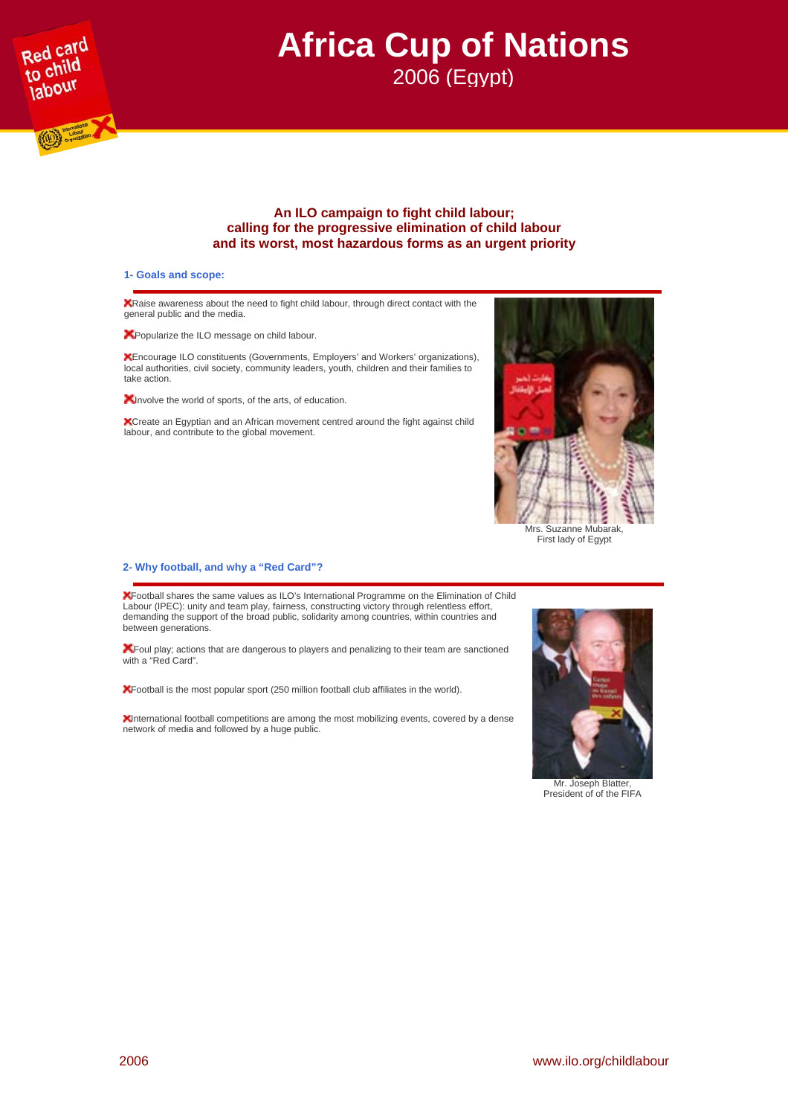

# **Africa Cup of Nations**  2006 (Egypt)

# **An ILO campaign to fight child labour; calling for the progressive elimination of child labour and its worst, most hazardous forms as an urgent priority**

## **1- Goals and scope:**

Raise awareness about the need to fight child labour, through direct contact with the general public and the media.

**A** Popularize the ILO message on child labour.

Encourage ILO constituents (Governments, Employers' and Workers' organizations), local authorities, civil society, community leaders, youth, children and their families to take action.

**X** Involve the world of sports, of the arts, of education.

Create an Egyptian and an African movement centred around the fight against child labour, and contribute to the global movement.



First lady of Egypt

#### **2- Why football, and why a "Red Card"?**

Football shares the same values as ILO's International Programme on the Elimination of Child Labour (IPEC): unity and team play, fairness, constructing victory through relentless effort, demanding the support of the broad public, solidarity among countries, within countries and between generations.

Foul play; actions that are dangerous to players and penalizing to their team are sanctioned with a "Red Card".

Football is the most popular sport (250 million football club affiliates in the world).

International football competitions are among the most mobilizing events, covered by a dense network of media and followed by a huge public.



Mr. Joseph Blatter, President of of the FIFA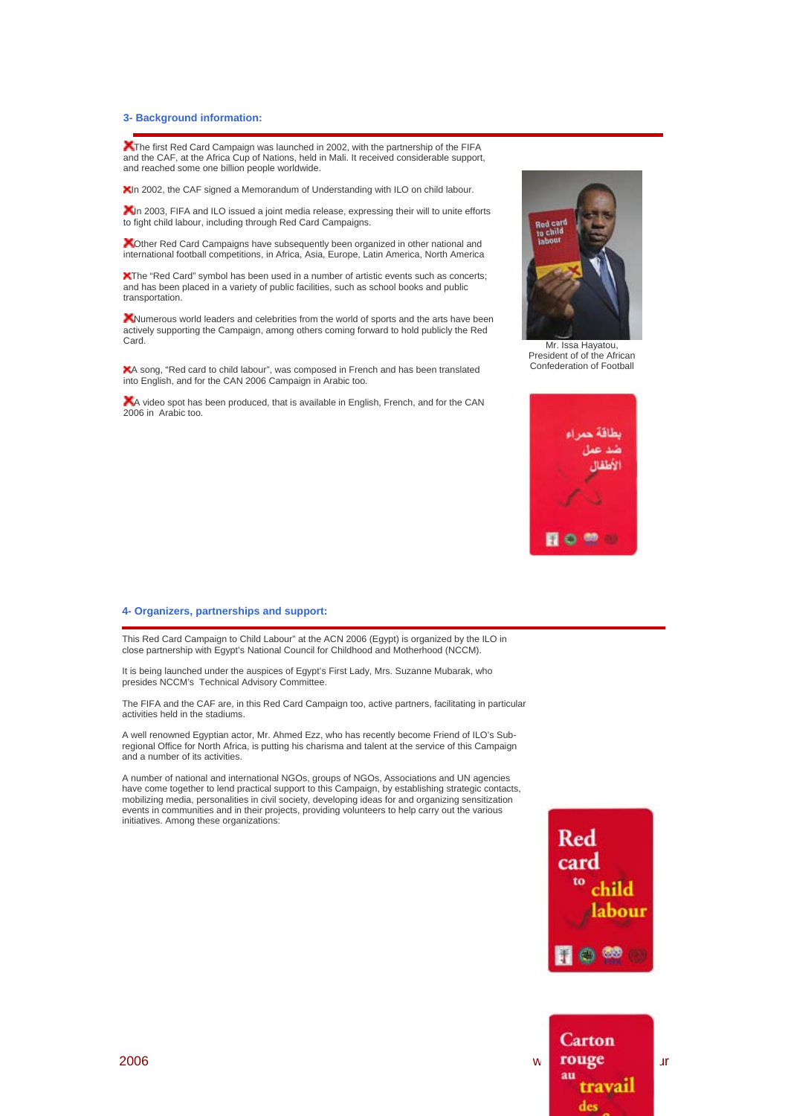#### **3- Background information:**

The first Red Card Campaign was launched in 2002, with the partnership of the FIFA and the CAF, at the Africa Cup of Nations, held in Mali. It received considerable support, and reached some one billion people worldwide.

XIn 2002, the CAF signed a Memorandum of Understanding with ILO on child labour.

XIn 2003, FIFA and ILO issued a joint media release, expressing their will to unite efforts to fight child labour, including through Red Card Campaigns.

**X**Other Red Card Campaigns have subsequently been organized in other national and international football competitions, in Africa, Asia, Europe, Latin America, North America

**X**The "Red Card" symbol has been used in a number of artistic events such as concerts: and has been placed in a variety of public facilities, such as school books and public transportation.

KNumerous world leaders and celebrities from the world of sports and the arts have been actively supporting the Campaign, among others coming forward to hold publicly the Red Card.

A song, "Red card to child labour", was composed in French and has been translated into English, and for the CAN 2006 Campaign in Arabic too.

A video spot has been produced, that is available in English, French, and for the CAN 2006 in Arabic too.



President of of the African Confederation of Football



#### **4- Organizers, partnerships and support:**

This Red Card Campaign to Child Labour" at the ACN 2006 (Egypt) is organized by the ILO in close partnership with Egypt's National Council for Childhood and Motherhood (NCCM).

It is being launched under the auspices of Egypt's First Lady, Mrs. Suzanne Mubarak, who presides NCCM's Technical Advisory Committee.

The FIFA and the CAF are, in this Red Card Campaign too, active partners, facilitating in particular activities held in the stadiums.

A well renowned Egyptian actor, Mr. Ahmed Ezz, who has recently become Friend of ILO's Subregional Office for North Africa, is putting his charisma and talent at the service of this Campaign and a number of its activities.

A number of national and international NGOs, groups of NGOs, Associations and UN agencies have come together to lend practical support to this Campaign, by establishing strategic contacts, mobilizing media, personalities in civil society, developing ideas for and organizing sensitization events in communities and in their projects, providing volunteers to help carry out the various initiatives. Among these organizations:



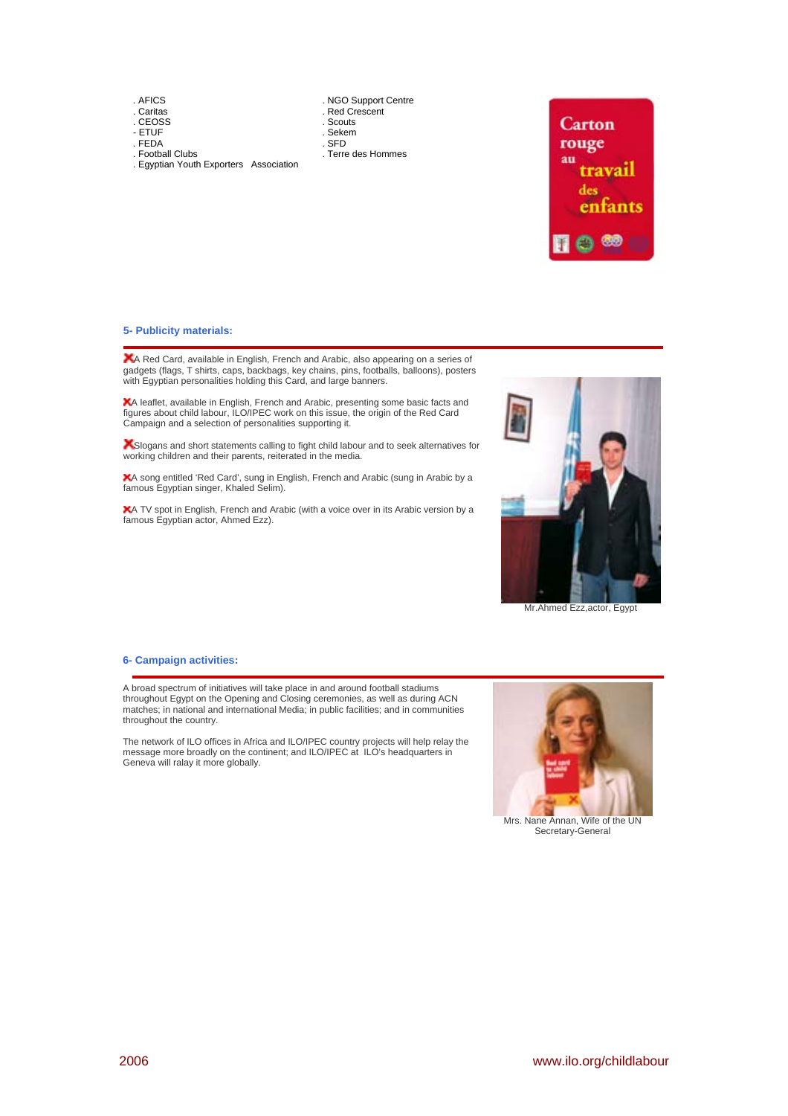. AFICS

- . Caritas . CEOSS
- ETUF . FEDA

. Football Clubs

 . NGO Support Centre . Red Crescent . Scouts . Sekem

- . SFD
	- . Terre des Hommes
- . Egyptian Youth Exporters Association



# **5- Publicity materials:**

A Red Card, available in English, French and Arabic, also appearing on a series of gadgets (flags, T shirts, caps, backbags, key chains, pins, footballs, balloons), posters with Egyptian personalities holding this Card, and large banners.

A leaflet, available in English, French and Arabic, presenting some basic facts and figures about child labour, ILO/IPEC work on this issue, the origin of the Red Card Campaign and a selection of personalities supporting it.

Slogans and short statements calling to fight child labour and to seek alternatives for working children and their parents, reiterated in the media.

A song entitled 'Red Card', sung in English, French and Arabic (sung in Arabic by a famous Egyptian singer, Khaled Selim).

A TV spot in English, French and Arabic (with a voice over in its Arabic version by a famous Egyptian actor, Ahmed Ezz).



Mr.Ahmed Ezz,actor, Egypt

# **6- Campaign activities:**

A broad spectrum of initiatives will take place in and around football stadiums throughout Egypt on the Opening and Closing ceremonies, as well as during ACN matches; in national and international Media; in public facilities; and in communities throughout the country.

The network of ILO offices in Africa and ILO/IPEC country projects will help relay the message more broadly on the continent; and ILO/IPEC at ILO's headquarters in Geneva will ralay it more globally.



Secretary-General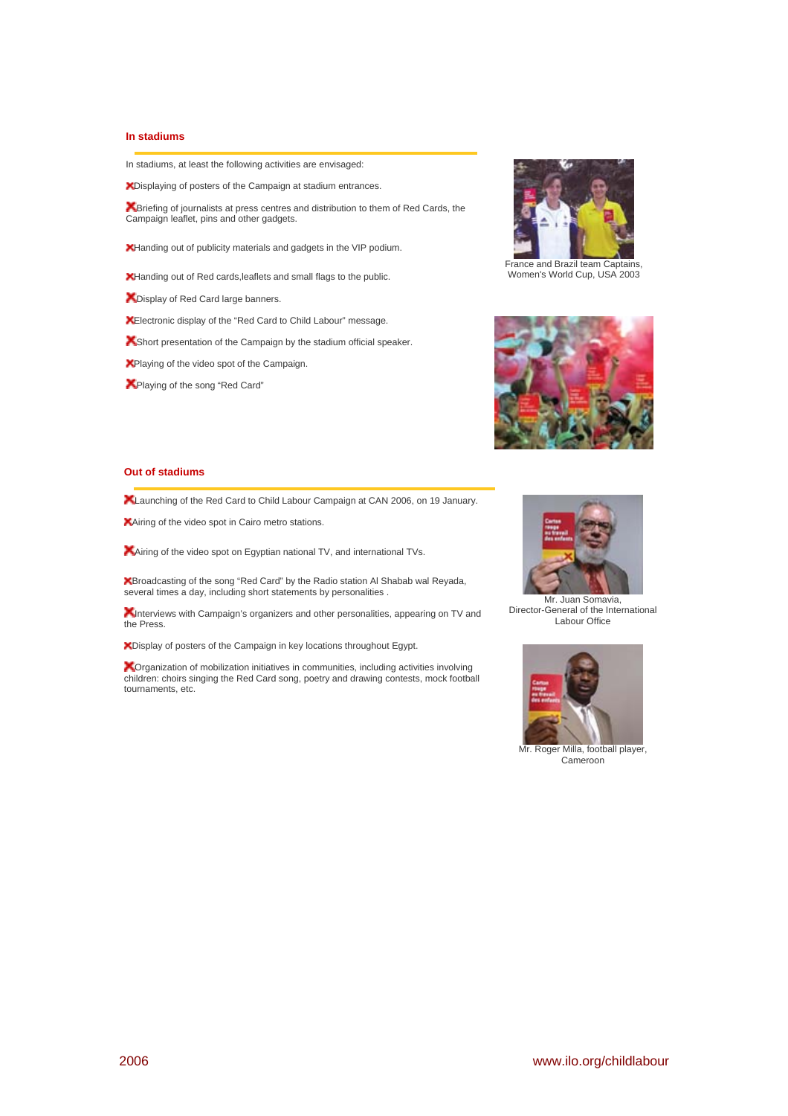# **In stadiums**

In stadiums, at least the following activities are envisaged:

Displaying of posters of the Campaign at stadium entrances.

Briefing of journalists at press centres and distribution to them of Red Cards, the Campaign leaflet, pins and other gadgets.

Handing out of publicity materials and gadgets in the VIP podium.

Handing out of Red cards,leaflets and small flags to the public.

**X** Display of Red Card large banners.

Electronic display of the "Red Card to Child Labour" message.

**K** Short presentation of the Campaign by the stadium official speaker.

**X**Playing of the video spot of the Campaign.

**X** Playing of the song "Red Card"



France and Brazil team Captains, Women's World Cup, USA 2003



## **Out of stadiums**

**X** Launching of the Red Card to Child Labour Campaign at CAN 2006, on 19 January.

**XAiring of the video spot in Cairo metro stations.** 

Airing of the video spot on Egyptian national TV, and international TVs.

Broadcasting of the song "Red Card" by the Radio station Al Shabab wal Reyada, several times a day, including short statements by personalities .

**X**Interviews with Campaign's organizers and other personalities, appearing on TV and the Press.

Display of posters of the Campaign in key locations throughout Egypt.

**X**Organization of mobilization initiatives in communities, including activities involving children: choirs singing the Red Card song, poetry and drawing contests, mock football tournaments, etc.



Director-General of the International Labour Office



Cameroon